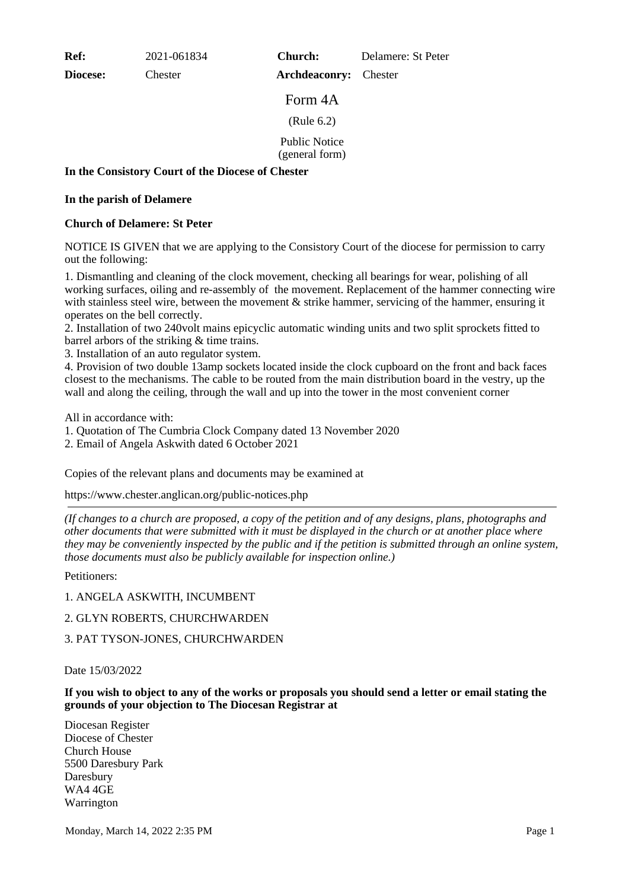**Ref:** 2021-061834

**Diocese:** Chester

**Church:** Delamere: St Peter

**Archdeaconry:** Chester

Form 4A

(Rule 6.2)

Public Notice (general form)

**In the Consistory Court of the Diocese of Chester**

## **In the parish of Delamere**

## **Church of Delamere: St Peter**

NOTICE IS GIVEN that we are applying to the Consistory Court of the diocese for permission to carry out the following:

1. Dismantling and cleaning of the clock movement, checking all bearings for wear, polishing of all working surfaces, oiling and re-assembly of the movement. Replacement of the hammer connecting wire with stainless steel wire, between the movement & strike hammer, servicing of the hammer, ensuring it operates on the bell correctly.

2. Installation of two 240volt mains epicyclic automatic winding units and two split sprockets fitted to barrel arbors of the striking & time trains.

3. Installation of an auto regulator system.

4. Provision of two double 13amp sockets located inside the clock cupboard on the front and back faces closest to the mechanisms. The cable to be routed from the main distribution board in the vestry, up the wall and along the ceiling, through the wall and up into the tower in the most convenient corner

All in accordance with:

1. Quotation of The Cumbria Clock Company dated 13 November 2020

2. Email of Angela Askwith dated 6 October 2021

Copies of the relevant plans and documents may be examined at

https://www.chester.anglican.org/public-notices.php

*(If changes to a church are proposed, a copy of the petition and of any designs, plans, photographs and other documents that were submitted with it must be displayed in the church or at another place where they may be conveniently inspected by the public and if the petition is submitted through an online system, those documents must also be publicly available for inspection online.)*

Petitioners:

1. ANGELA ASKWITH, INCUMBENT

## 2. GLYN ROBERTS, CHURCHWARDEN

3. PAT TYSON-JONES, CHURCHWARDEN

Date 15/03/2022

**If you wish to object to any of the works or proposals you should send a letter or email stating the grounds of your objection to The Diocesan Registrar at**

Diocesan Register Diocese of Chester Church House 5500 Daresbury Park Daresbury WA4 4GE Warrington

Monday, March 14, 2022 2:35 PM Page 1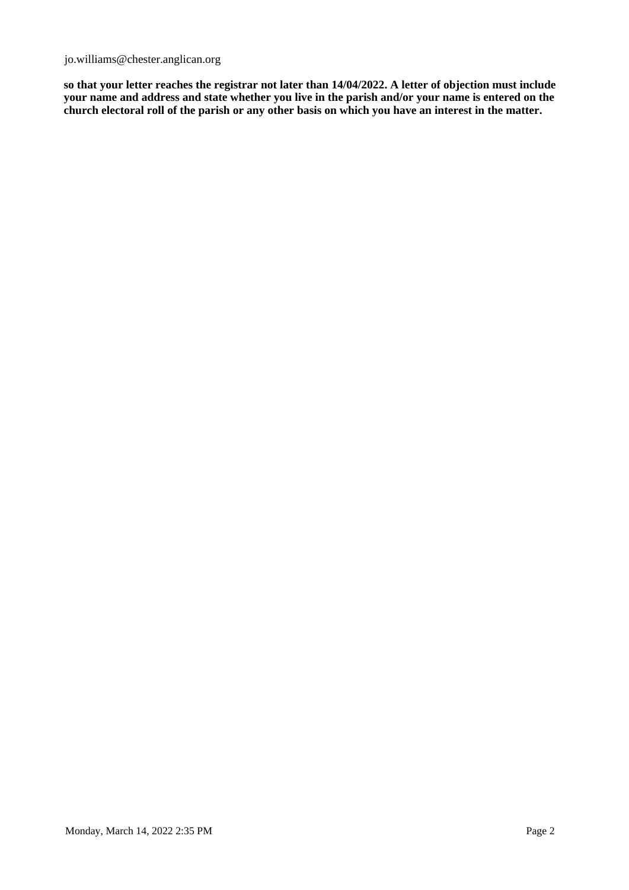jo.williams@chester.anglican.org

**so that your letter reaches the registrar not later than 14/04/2022. A letter of objection must include your name and address and state whether you live in the parish and/or your name is entered on the church electoral roll of the parish or any other basis on which you have an interest in the matter.**